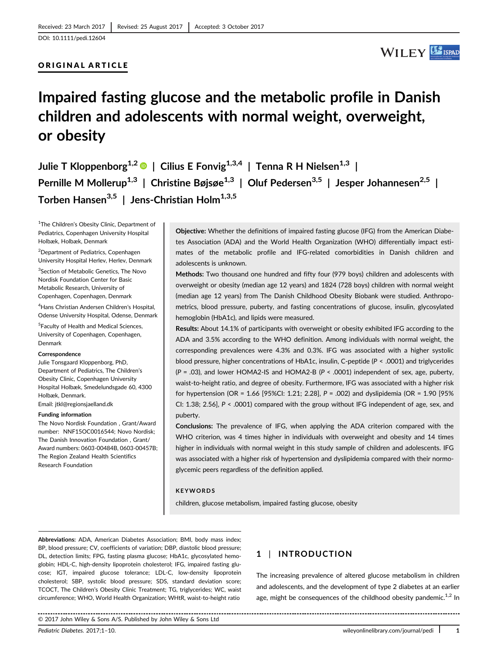DOI: 10.1111/pedi.12604

#### ORIGINAL ARTICLE

WILEY SERAD

# Impaired fasting glucose and the metabolic profile in Danish children and adolescents with normal weight, overweight, or obesity

Julie T Kloppenborg<sup>1,2</sup> | Cilius E Fonvig<sup>1,3,4</sup> | Tenna R H Nielsen<sup>1,3</sup> | Pernille M Mollerup<sup>1,3</sup> | Christine Bøjsøe<sup>1,3</sup> | Oluf Pedersen<sup>3,5</sup> | Jesper Johannesen<sup>2,5</sup> | Torben Hansen<sup>3,5</sup> | Jens-Christian Holm<sup>1,3,5</sup>

<sup>1</sup>The Children's Obesity Clinic, Department of Pediatrics, Copenhagen University Hospital Holbæk, Holbæk, Denmark

<sup>2</sup>Department of Pediatrics, Copenhagen University Hospital Herlev, Herlev, Denmark

<sup>3</sup>Section of Metabolic Genetics, The Novo Nordisk Foundation Center for Basic Metabolic Research, University of Copenhagen, Copenhagen, Denmark

4 Hans Christian Andersen Children's Hospital, Odense University Hospital, Odense, Denmark

5 Faculty of Health and Medical Sciences, University of Copenhagen, Copenhagen, Denmark

#### **Correspondence**

Julie Tonsgaard Kloppenborg, PhD, Department of Pediatrics, The Children's Obesity Clinic, Copenhagen University Hospital Holbæk, Smedelundsgade 60, 4300 Holbæk, Denmark. Email: jtkl@regionsjaelland.dk

Funding information

The Novo Nordisk Foundation , Grant/Award number: NNF15OC0016544; Novo Nordisk; The Danish Innovation Foundation , Grant/ Award numbers: 0603-00484B, 0603-00457B; The Region Zealand Health Scientifics Research Foundation

Objective: Whether the definitions of impaired fasting glucose (IFG) from the American Diabetes Association (ADA) and the World Health Organization (WHO) differentially impact estimates of the metabolic profile and IFG-related comorbidities in Danish children and adolescents is unknown.

Methods: Two thousand one hundred and fifty four (979 boys) children and adolescents with overweight or obesity (median age 12 years) and 1824 (728 boys) children with normal weight (median age 12 years) from The Danish Childhood Obesity Biobank were studied. Anthropometrics, blood pressure, puberty, and fasting concentrations of glucose, insulin, glycosylated hemoglobin (HbA1c), and lipids were measured.

Results: About 14.1% of participants with overweight or obesity exhibited IFG according to the ADA and 3.5% according to the WHO definition. Among individuals with normal weight, the corresponding prevalences were 4.3% and 0.3%. IFG was associated with a higher systolic blood pressure, higher concentrations of HbA1c, insulin, C-peptide (P < .0001) and triglycerides  $(P = .03)$ , and lower HOMA2-IS and HOMA2-B  $(P < .0001)$  independent of sex, age, puberty, waist-to-height ratio, and degree of obesity. Furthermore, IFG was associated with a higher risk for hypertension (OR = 1.66 [95%CI: 1.21; 2.28], P = .002) and dyslipidemia (OR = 1.90 [95% CI: 1.38; 2.56], P < .0001) compared with the group without IFG independent of age, sex, and puberty.

Conclusions: The prevalence of IFG, when applying the ADA criterion compared with the WHO criterion, was 4 times higher in individuals with overweight and obesity and 14 times higher in individuals with normal weight in this study sample of children and adolescents. IFG was associated with a higher risk of hypertension and dyslipidemia compared with their normoglycemic peers regardless of the definition applied.

#### **KEYWORDS**

children, glucose metabolism, impaired fasting glucose, obesity

Abbreviations: ADA, American Diabetes Association; BMI, body mass index; BP, blood pressure; CV, coefficients of variation; DBP, diastolic blood pressure; DL, detection limits; FPG, fasting plasma glucose; HbA1c, glycosylated hemoglobin; HDL-C, high-density lipoprotein cholesterol; IFG, impaired fasting glucose; IGT, impaired glucose tolerance; LDL-C, low-density lipoprotein cholesterol; SBP, systolic blood pressure; SDS, standard deviation score; TCOCT, The Children's Obesity Clinic Treatment; TG, triglycerides; WC, waist circumference; WHO, World Health Organization; WHtR, waist-to-height ratio

## 1 | INTRODUCTION

The increasing prevalence of altered glucose metabolism in children and adolescents, and the development of type 2 diabetes at an earlier age, might be consequences of the childhood obesity pandemic.<sup>1,2</sup> In

© 2017 John Wiley & Sons A/S. Published by John Wiley & Sons Ltd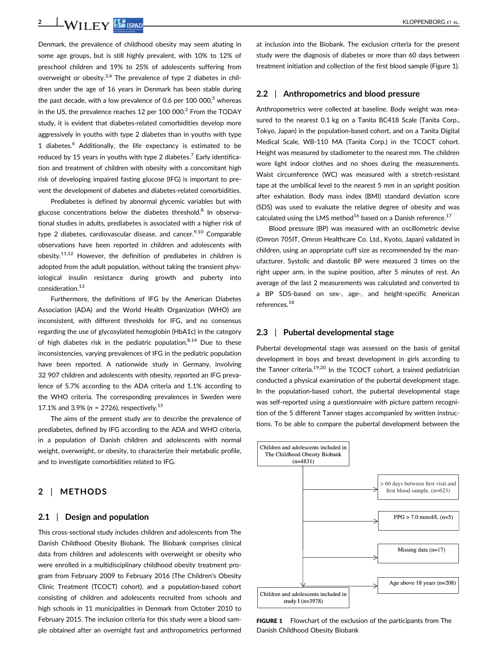Denmark, the prevalence of childhood obesity may seem abating in some age groups, but is still highly prevalent, with 10% to 12% of preschool children and 19% to 25% of adolescents suffering from overweight or obesity. $3,4$  The prevalence of type 2 diabetes in children under the age of 16 years in Denmark has been stable during the past decade, with a low prevalence of 0.6 per 100 000, $5$  whereas in the US, the prevalence reaches 12 per 100 000. $2$  From the TODAY study, it is evident that diabetes-related comorbidities develop more aggressively in youths with type 2 diabetes than in youths with type 1 diabetes.<sup>6</sup> Additionally, the life expectancy is estimated to be reduced by 15 years in youths with type 2 diabetes.<sup>7</sup> Early identification and treatment of children with obesity with a concomitant high risk of developing impaired fasting glucose (IFG) is important to prevent the development of diabetes and diabetes-related comorbidities.

Prediabetes is defined by abnormal glycemic variables but with glucose concentrations below the diabetes threshold.<sup>8</sup> In observational studies in adults, prediabetes is associated with a higher risk of type 2 diabetes, cardiovascular disease, and cancer.<sup>9,10</sup> Comparable observations have been reported in children and adolescents with obesity.<sup>11,12</sup> However, the definition of prediabetes in children is adopted from the adult population, without taking the transient physiological insulin resistance during growth and puberty into consideration.13

Furthermore, the definitions of IFG by the American Diabetes Association (ADA) and the World Health Organization (WHO) are inconsistent, with different thresholds for IFG, and no consensus regarding the use of glycosylated hemoglobin (HbA1c) in the category of high diabetes risk in the pediatric population. $8,14$  Due to these inconsistencies, varying prevalences of IFG in the pediatric population have been reported. A nationwide study in Germany, involving 32 907 children and adolescents with obesity, reported an IFG prevalence of 5.7% according to the ADA criteria and 1.1% according to the WHO criteria. The corresponding prevalences in Sweden were 17.1% and 3.9% ( $n = 2726$ ), respectively.<sup>15</sup>

The aims of the present study are to describe the prevalence of prediabetes, defined by IFG according to the ADA and WHO criteria, in a population of Danish children and adolescents with normal weight, overweight, or obesity, to characterize their metabolic profile, and to investigate comorbidities related to IFG.

#### 2 | METHODS

#### 2.1 | Design and population

This cross-sectional study includes children and adolescents from The Danish Childhood Obesity Biobank. The Biobank comprises clinical data from children and adolescents with overweight or obesity who were enrolled in a multidisciplinary childhood obesity treatment program from February 2009 to February 2016 (The Children's Obesity Clinic Treatment (TCOCT) cohort), and a population-based cohort consisting of children and adolescents recruited from schools and high schools in 11 municipalities in Denmark from October 2010 to February 2015. The inclusion criteria for this study were a blood sample obtained after an overnight fast and anthropometrics performed at inclusion into the Biobank. The exclusion criteria for the present study were the diagnosis of diabetes or more than 60 days between treatment initiation and collection of the first blood sample (Figure 1).

#### 2.2 | Anthropometrics and blood pressure

Anthropometrics were collected at baseline. Body weight was measured to the nearest 0.1 kg on a Tanita BC418 Scale (Tanita Corp., Tokyo, Japan) in the population-based cohort, and on a Tanita Digital Medical Scale, WB-110 MA (Tanita Corp.) in the TCOCT cohort. Height was measured by stadiometer to the nearest mm. The children wore light indoor clothes and no shoes during the measurements. Waist circumference (WC) was measured with a stretch-resistant tape at the umbilical level to the nearest 5 mm in an upright position after exhalation. Body mass index (BMI) standard deviation score (SDS) was used to evaluate the relative degree of obesity and was calculated using the LMS method<sup>16</sup> based on a Danish reference.<sup>17</sup>

Blood pressure (BP) was measured with an oscillometric devise (Omron 705IT, Omron Healthcare Co. Ltd., Kyoto, Japan) validated in children, using an appropriate cuff size as recommended by the manufacturer. Systolic and diastolic BP were measured 3 times on the right upper arm, in the supine position, after 5 minutes of rest. An average of the last 2 measurements was calculated and converted to a BP SDS-based on sex-, age-, and height-specific American references.<sup>18</sup>

#### 2.3 | Pubertal developmental stage

Pubertal developmental stage was assessed on the basis of genital development in boys and breast development in girls according to the Tanner criteria.<sup>19,20</sup> In the TCOCT cohort, a trained pediatrician conducted a physical examination of the pubertal development stage. In the population-based cohort, the pubertal developmental stage was self-reported using a questionnaire with picture pattern recognition of the 5 different Tanner stages accompanied by written instructions. To be able to compare the pubertal development between the



FIGURE 1 Flowchart of the exclusion of the participants from The Danish Childhood Obesity Biobank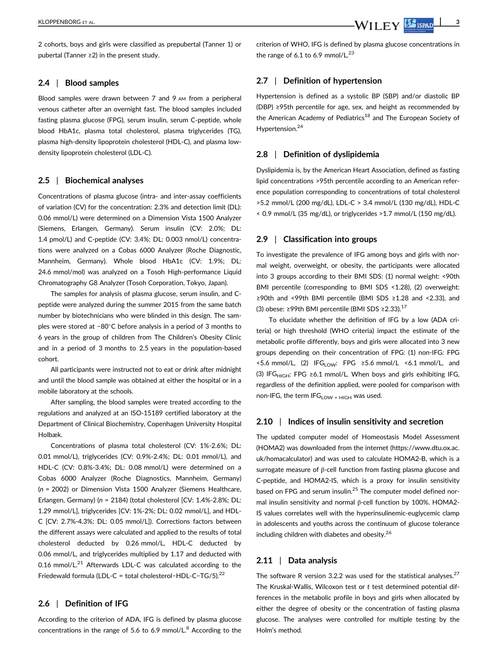2 cohorts, boys and girls were classified as prepubertal (Tanner 1) or pubertal (Tanner ≥2) in the present study.

#### 2.4 | Blood samples

Blood samples were drawn between 7 and 9 AM from a peripheral venous catheter after an overnight fast. The blood samples included fasting plasma glucose (FPG), serum insulin, serum C-peptide, whole blood HbA1c, plasma total cholesterol, plasma triglycerides (TG), plasma high-density lipoprotein cholesterol (HDL-C), and plasma lowdensity lipoprotein cholesterol (LDL-C).

#### 2.5 | Biochemical analyses

Concentrations of plasma glucose (intra- and inter-assay coefficients of variation (CV) for the concentration: 2.3% and detection limit (DL): 0.06 mmol/L) were determined on a Dimension Vista 1500 Analyzer (Siemens, Erlangen, Germany). Serum insulin (CV: 2.0%; DL: 1.4 pmol/L) and C-peptide (CV: 3.4%; DL: 0.003 nmol/L) concentrations were analyzed on a Cobas 6000 Analyzer (Roche Diagnostic, Mannheim, Germany). Whole blood HbA1c (CV: 1.9%; DL: 24.6 mmol/mol) was analyzed on a Tosoh High-performance Liquid Chromatography G8 Analyzer (Tosoh Corporation, Tokyo, Japan).

The samples for analysis of plasma glucose, serum insulin, and Cpeptide were analyzed during the summer 2015 from the same batch number by biotechnicians who were blinded in this design. The samples were stored at −80°C before analysis in a period of 3 months to 6 years in the group of children from The Children's Obesity Clinic and in a period of 3 months to 2.5 years in the population-based cohort.

All participants were instructed not to eat or drink after midnight and until the blood sample was obtained at either the hospital or in a mobile laboratory at the schools.

After sampling, the blood samples were treated according to the regulations and analyzed at an ISO-15189 certified laboratory at the Department of Clinical Biochemistry, Copenhagen University Hospital Holbæk.

Concentrations of plasma total cholesterol (CV: 1%-2.6%; DL: 0.01 mmol/L), triglycerides (CV: 0.9%-2.4%; DL: 0.01 mmol/L), and HDL-C (CV: 0.8%-3.4%; DL: 0.08 mmol/L) were determined on a Cobas 6000 Analyzer (Roche Diagnostics, Mannheim, Germany) (n = 2002) or Dimension Vista 1500 Analyzer (Siemens Healthcare, Erlangen, Germany) (n = 2184) (total cholesterol [CV: 1.4%-2.8%; DL: 1.29 mmol/L], triglycerides [CV: 1%-2%; DL: 0.02 mmol/L], and HDL-C [CV: 2.7%-4.3%; DL: 0.05 mmol/L]). Corrections factors between the different assays were calculated and applied to the results of total cholesterol deducted by 0.26 mmol/L, HDL-C deducted by 0.06 mmol/L, and triglycerides multiplied by 1.17 and deducted with  $0.16$  mmol/L. $^{21}$  Afterwards LDL-C was calculated according to the Friedewald formula (LDL-C = total cholesterol−HDL-C−TG/5).<sup>22</sup>

#### 2.6 | Definition of IFG

According to the criterion of ADA, IFG is defined by plasma glucose concentrations in the range of 5.6 to 6.9 mmol/ $L^8$  According to the criterion of WHO, IFG is defined by plasma glucose concentrations in the range of 6.1 to 6.9 mmol/ $L^{23}$ 

#### 2.7 | Definition of hypertension

Hypertension is defined as a systolic BP (SBP) and/or diastolic BP (DBP) ≥95th percentile for age, sex, and height as recommended by the American Academy of Pediatrics<sup>18</sup> and The European Society of Hypertension.<sup>24</sup>

#### 2.8 | Definition of dyslipidemia

Dyslipidemia is, by the American Heart Association, defined as fasting lipid concentrations >95th percentile according to an American reference population corresponding to concentrations of total cholesterol >5.2 mmol/L (200 mg/dL), LDL-C > 3.4 mmol/L (130 mg/dL), HDL-C < 0.9 mmol/L (35 mg/dL), or triglycerides >1.7 mmol/L (150 mg/dL).

#### 2.9 | Classification into groups

To investigate the prevalence of IFG among boys and girls with normal weight, overweight, or obesity, the participants were allocated into 3 groups according to their BMI SDS: (1) normal weight: <90th BMI percentile (corresponding to BMI SDS <1.28), (2) overweight: ≥90th and <99th BMI percentile (BMI SDS ≥1.28 and <2.33), and (3) obese: ≥99th BMI percentile (BMI SDS ≥2.33).<sup>17</sup>

To elucidate whether the definition of IFG by a low (ADA criteria) or high threshold (WHO criteria) impact the estimate of the metabolic profile differently, boys and girls were allocated into 3 new groups depending on their concentration of FPG: (1) non-IFG: FPG <5.6 mmol/L, (2) IFG<sub>LOW</sub>: FPG ≥5.6 mmol/L <6.1 mmol/L, and (3) IFG<sub>HIGH</sub>: FPG ≥6.1 mmol/L. When boys and girls exhibiting IFG, regardless of the definition applied, were pooled for comparison with non-IFG, the term IFG<sub>LOW + HIGH</sub> was used.

#### 2.10 | Indices of insulin sensitivity and secretion

The updated computer model of Homeostasis Model Assessment (HOMA2) was downloaded from the internet ([https://www.dtu.ox.ac.](https://www.dtu.ox.ac.uk/homacalculator) [uk/homacalculator](https://www.dtu.ox.ac.uk/homacalculator)) and was used to calculate HOMA2-B, which is a surrogate measure of β-cell function from fasting plasma glucose and C-peptide, and HOMA2-IS, which is a proxy for insulin sensitivity based on FPG and serum insulin.<sup>25</sup> The computer model defined normal insulin sensitivity and normal β-cell function by 100%. HOMA2- IS values correlates well with the hyperinsulinemic-euglycemic clamp in adolescents and youths across the continuum of glucose tolerance including children with diabetes and obesity.26

#### 2.11 | Data analysis

The software R version 3.2.2 was used for the statistical analyses. $27$ The Kruskal-Wallis, Wilcoxon test or t test determined potential differences in the metabolic profile in boys and girls when allocated by either the degree of obesity or the concentration of fasting plasma glucose. The analyses were controlled for multiple testing by the Holm's method.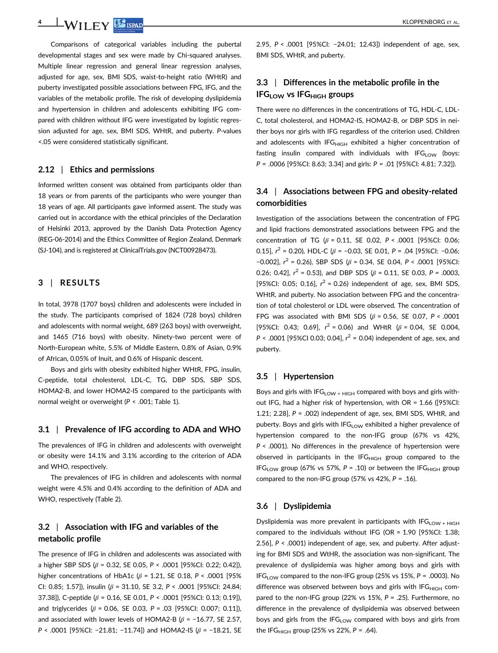Comparisons of categorical variables including the pubertal developmental stages and sex were made by Chi-squared analyses. Multiple linear regression and general linear regression analyses, adjusted for age, sex, BMI SDS, waist-to-height ratio (WHtR) and puberty investigated possible associations between FPG, IFG, and the variables of the metabolic profile. The risk of developing dyslipidemia and hypertension in children and adolescents exhibiting IFG compared with children without IFG were investigated by logistic regression adjusted for age, sex, BMI SDS, WHtR, and puberty, P-values <.05 were considered statistically significant.

#### 2.12 | Ethics and permissions

Informed written consent was obtained from participants older than 18 years or from parents of the participants who were younger than 18 years of age. All participants gave informed assent. The study was carried out in accordance with the ethical principles of the Declaration of Helsinki 2013, approved by the Danish Data Protection Agency (REG-06-2014) and the Ethics Committee of Region Zealand, Denmark (SJ-104), and is registered at [ClinicalTrials.gov](http://clinicaltrials.gov) (NCT00928473).

#### 3 | RESULTS

In total, 3978 (1707 boys) children and adolescents were included in the study. The participants comprised of 1824 (728 boys) children and adolescents with normal weight, 689 (263 boys) with overweight, and 1465 (716 boys) with obesity. Ninety-two percent were of North-European white, 5.5% of Middle Eastern, 0.8% of Asian, 0.9% of African, 0.05% of Inuit, and 0.6% of Hispanic descent.

Boys and girls with obesity exhibited higher WHtR, FPG, insulin, C-peptide, total cholesterol, LDL-C, TG, DBP SDS, SBP SDS, HOMA2-B, and lower HOMA2-IS compared to the participants with normal weight or overweight (P < .001; Table 1).

#### 3.1 | Prevalence of IFG according to ADA and WHO

The prevalences of IFG in children and adolescents with overweight or obesity were 14.1% and 3.1% according to the criterion of ADA and WHO, respectively.

The prevalences of IFG in children and adolescents with normal weight were 4.5% and 0.4% according to the definition of ADA and WHO, respectively (Table 2).

# 3.2 | Association with IFG and variables of the metabolic profile

The presence of IFG in children and adolescents was associated with a higher SBP SDS ( $\beta$  = 0.32, SE 0.05, P < .0001 [95%CI: 0.22; 0.42]), higher concentrations of HbA1c ( $\beta$  = 1.21, SE 0.18, P < .0001 [95% CI: 0.85; 1.57]), insulin ( $\beta$  = 31.10, SE 3.2, P < .0001 [95%CI: 24.84; 37.38]), C-peptide ( $\beta$  = 0.16, SE 0.01, P < .0001 [95%CI: 0.13; 0.19]), and triglycerides ( $\beta$  = 0.06, SE 0.03, P = .03 [95%CI: 0.007; 0.11]), and associated with lower levels of HOMA2-B ( $\beta$  = -16.77, SE 2.57, P < .0001 [95%Cl: -21.81; -11.74]) and HOMA2-IS (β = -18.21, SE 2.95, P < .0001 [95%CI: −24.01; 12.43]) independent of age, sex, BMI SDS, WHtR, and puberty.

### 3.3 | Differences in the metabolic profile in the IFGLOW VS IFG<sub>HIGH</sub> groups

There were no differences in the concentrations of TG, HDL-C, LDL-C, total cholesterol, and HOMA2-IS, HOMA2-B, or DBP SDS in neither boys nor girls with IFG regardless of the criterion used. Children and adolescents with IFG $H_{H1}$  exhibited a higher concentration of fasting insulin compared with individuals with  $IFG_{LOW}$  (boys: P = .0006 [95%CI: 8.63; 3.34] and girls: P = .01 [95%CI: 4.81; 7.32]).

### 3.4 | Associations between FPG and obesity-related comorbidities

Investigation of the associations between the concentration of FPG and lipid fractions demonstrated associations between FPG and the concentration of TG ( $\beta$  = 0.11, SE 0.02, P < .0001 [95%CI: 0.06; 0.15],  $r^2$  = 0.20), HDL-C ( $β$  = -0.03, SE 0.01, P = .04 [95%CI: -0.06; −0.002],  $r^2$  = 0.26), SBP SDS ( $\beta$  = 0.34, SE 0.04, P < .0001 [95%CI: 0.26; 0.42],  $r^2 = 0.53$ ), and DBP SDS ( $\beta = 0.11$ , SE 0.03, P = .0003, [95%CI: 0.05; 0.16],  $r^2 = 0.26$ ) independent of age, sex, BMI SDS, WHtR, and puberty. No association between FPG and the concentration of total cholesterol or LDL were observed. The concentration of FPG was associated with BMI SDS ( $\beta$  = 0.56, SE 0.07, P < .0001 [95%Cl: 0.43; 0.69],  $r^2 = 0.06$ ) and WHtR ( $\beta = 0.04$ , SE 0.004, P < .0001 [95%Cl 0.03; 0.04],  $r^2 = 0.04$  independent of age, sex, and puberty.

#### 3.5 | Hypertension

Boys and girls with IFG<sub>LOW + HIGH</sub> compared with boys and girls without IFG, had a higher risk of hypertension, with OR = 1.66 ([95%CI: 1.21; 2.28],  $P = .002$ ) independent of age, sex, BMI SDS, WHtR, and puberty. Boys and girls with  $IFG_{LOW}$  exhibited a higher prevalence of hypertension compared to the non-IFG group (67% vs 42%, P < .0001). No differences in the prevalence of hypertension were observed in participants in the IFG $_{HIGH}$  group compared to the IFG<sub>LOW</sub> group (67% vs 57%,  $P = .10$ ) or between the IFG<sub>HIGH</sub> group compared to the non-IFG group (57% vs  $42\%$ ,  $P = .16$ ).

#### 3.6 | Dyslipidemia

Dyslipidemia was more prevalent in participants with IFG<sub>LOW + HIGH</sub> compared to the individuals without IFG (OR = 1.90 [95%CI: 1.38; 2.56], P < .0001) independent of age, sex, and puberty. After adjusting for BMI SDS and WtHR, the association was non-significant. The prevalence of dyslipidemia was higher among boys and girls with IFG<sub>LOW</sub> compared to the non-IFG group (25% vs 15%,  $P = .0003$ ). No difference was observed between boys and girls with  $IFG<sub>HIGH</sub>$  compared to the non-IFG group (22% vs 15%,  $P = .25$ ). Furthermore, no difference in the prevalence of dyslipidemia was observed between boys and girls from the IFG<sub>LOW</sub> compared with boys and girls from the IFG $_{HIGH}$  group (25% vs 22%, P = .64).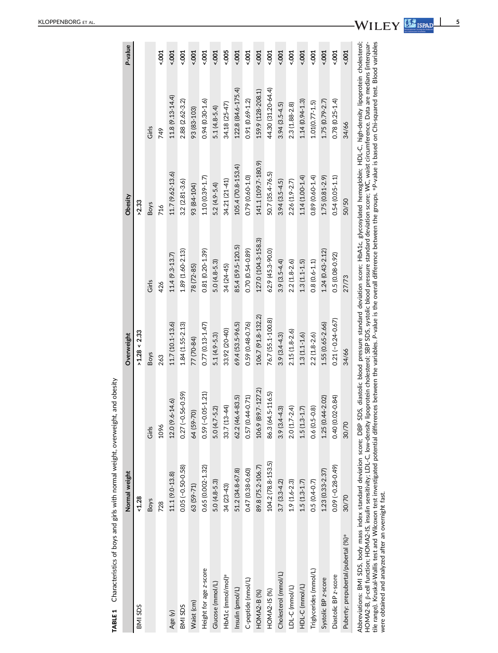|                                                                                                                                                                                                            | Normal weight         |                       | Overweight            |                     | Obesity             |                     | P-value  |
|------------------------------------------------------------------------------------------------------------------------------------------------------------------------------------------------------------|-----------------------|-----------------------|-----------------------|---------------------|---------------------|---------------------|----------|
| <b>BMI SDS</b>                                                                                                                                                                                             | 1.28                  |                       | >1.28 < 2.33          |                     | >2.33               |                     |          |
|                                                                                                                                                                                                            | <b>Boys</b>           | Girls                 | <b>Boys</b>           | Girls               | Boys                | Girls               |          |
|                                                                                                                                                                                                            | 728                   | 1096                  | 263                   | 426                 | 716                 | 749                 | 5001     |
| Age (y)                                                                                                                                                                                                    | 11.1 (9.0-13.8)       | 12.0 (9.6-14.6)       | $11.7(10.1 - 13.6)$   | 11.4 (9.3-13.7)     | 11.7 (9.62-13.6)    | $11.8(9.13 - 14.4)$ | $5001 -$ |
| <b>SOS INB</b>                                                                                                                                                                                             | $0.05 (-0.50 - 0.58)$ | $0.27 (-0.56 - 0.59)$ | $1.84(1.55 - 2.13)$   | 1.89 (1.60-2.13)    | $3.2(2.81 - 3.6)$   | 2.88 (2.62-3.2)     | 5001     |
| Waist (cm)                                                                                                                                                                                                 | 63 (59-71)            | 64 (59-70)            | 77 (70-84)            | 78 (72-85)          | 93 (84-104)         | 93 (83-103)         | 5001     |
| Height for age z-score                                                                                                                                                                                     | 0.65 (0.002-1.32)     | $0.59$ (-0.05-1.21)   | $0.77(0.13 - 1.47)$   | 0.81 (0.20-1.39)    | $1.10(0.39 - 1.7)$  | $0.94(0.30 - 1.6)$  | 5001     |
| Glucose (mmol/L)                                                                                                                                                                                           | $5.0(4.8-5.3)$        | $5.0(4.7-5.2)$        | $5.1(4.9 - 5.3)$      | $5.0(4.8-5.3)$      | $5.2(4.9 - 5.4)$    | $5.1(4.8-5.4)$      | $5001 -$ |
| HbA1c (mmol/mol)*                                                                                                                                                                                          | $34(23-43)$           | $33.7(13-44)$         | 33.92 (20-40)         | 34 (24-45)          | 34.21 (21-41)       | 34.18 (25-47)       | 5005     |
| Insulin (pmol/L)                                                                                                                                                                                           | 51.2 (34.8-67.8)      | 62.2 (46.4-83.5)      | 69.4 (53.5-96.5)      | 85.4 (59.5-120.5)   | 105.4 (70.8-153.4)  | 122.8 (84.6-175.4)  | $5001 -$ |
| C-peptide (nmol/L)                                                                                                                                                                                         | 0.47 (0.38-0.60)      | 0.57 (0.44-0.71)      | 0.59 (0.48-0.76)      | 0.70 (0.54-0.89)    | 0.79 (0.60-1.0)     | $0.91(0.69 - 1.2)$  | 5001     |
| <b>HOMA2-B (%)</b>                                                                                                                                                                                         | 89.8 (75.2-106.7)     | 106.9 (89.7-127.2)    | 106.7 (91.8-132.2)    | 127.0 (104.3-158.3) | 141.1 (109.7-180.9) | 159.9 (128-208.1)   | 5001     |
| <b>HOMA2-IS (%)</b>                                                                                                                                                                                        | 104.2 (78.8-153.5)    | 86.3 (64.5-116.5)     | 76.7 (55.1-100.8)     | 62.9 (45.3-90.0)    | 50.7 (35.4-76.5)    | 44.30 (31.20-64.4)  | $-001$   |
| Cholesterol (mmol/L)                                                                                                                                                                                       | $3.7(3.3 - 4.2)$      | $3.9(3.4 - 4.3)$      | $3.9(3.4 - 4.3)$      | $3.9(3.5 - 4.4)$    | $3.94(3.5-4.5)$     | $3.94(3.5 - 4.5)$   | $5001 -$ |
| LDL-C (mmol/L)                                                                                                                                                                                             | $1.9(1.6 - 2.3)$      | $2.0(1.7 - 2.4)$      | $2.15(1.8-2.6)$       | $2.2(1.8-2.6)$      | 2.26 (1.9-2.7)      | $2.3(1.88 - 2.8)$   | 5001     |
| HDL-C (mmol/L)                                                                                                                                                                                             | $1.5(1.3 - 1.7)$      | $1.5(1.3 - 1.7)$      | $1.3(1.1 - 1.6)$      | $1.3(1.1 - 1.5)$    | $1.14(1.00-1.4)$    | $1.14(0.94 - 1.3)$  | $5001 -$ |
| Triglycerides (mmol/L)                                                                                                                                                                                     | $0.5(0.4 - 0.7)$      | $0.6(0.5-0.8)$        | $2.2(1.8-2.6)$        | $0.8(0.6 - 1.1)$    | $0.89(0.60 - 1.4)$  | $1.01(0.77 - 1.5)$  | 5001     |
| Systolic BP z-score                                                                                                                                                                                        | 1.23 (0.33-2.37)      | 1.25 (0.44-2.02)      | $1.55(0.65 - 2.66)$   | 1.24 (0.43-2.12)    | $1.75(0.81 - 2.9)$  | 1.75 (0.79-2.7)     | 5001     |
| Diastolic BP z-score                                                                                                                                                                                       | $0.09(-0.28 - 0.49)$  | 0.40 (0.02-0.84)      | $0.21 (-0.24 - 0.67)$ | $0.5(0.08 - 0.92)$  | $0.54(0.05 - 1.1)$  | $0.78(0.25 - 1.4)$  | 5001     |
| Puberty: prepubertal/pubertal (%)*                                                                                                                                                                         | 30/70                 | 30/70                 | 34/66                 | 27/73               | 50/50               | 34/66               | 5001     |
| Abbreviations: BMI SDS, body mass index standard deviation score; DBP SDS, diastolic blood pressure standard deviation score; HbA1c, glycosylated hemoglobin; HDL-C, high-density lipoprotein cholesterol; |                       |                       |                       |                     |                     |                     |          |

TABLE 1 Characteristics of boys and girls with normal weight, overweight, and obesity TABLE 1 Characteristics of boys and girls with normal weight, overweight, and obesity

Abbreviations: BMI SDS, body mass index standard deviation score; DBP SDS, diastolic blood pressure standard deviation score; HbA1c, glycosylated hemoglobin; HDL-C, high-density lipoprotein cholesterol;<br>HOMA2-B, β-cell fun Abbreviations: BMI SDS, body mass index standard deviation score; DBP SDS, diastolic blood pressure standard deviation score; HbA1c, glycosylated hemoglobin; HDL-C, high-density lipoprotein cholesterol; HOMA2-B, β-cell function; HOMA2-IS, insulin sensitivity; LDL-C, low-density lipoprotein cholesterol; SBP SDS, systolic blood pressure standard deviation score; WC, waist circumference. Data are medians (interquartile range). Kruskal-Wallis test and Wilcoxon test investigated potential differences between the variables. P-value is the overall difference between the groups. \*P-value is based on Chi-squared test. Blood variables were obtained and analyzed after an overnight fast.

-WILEY

**EX ISPAD**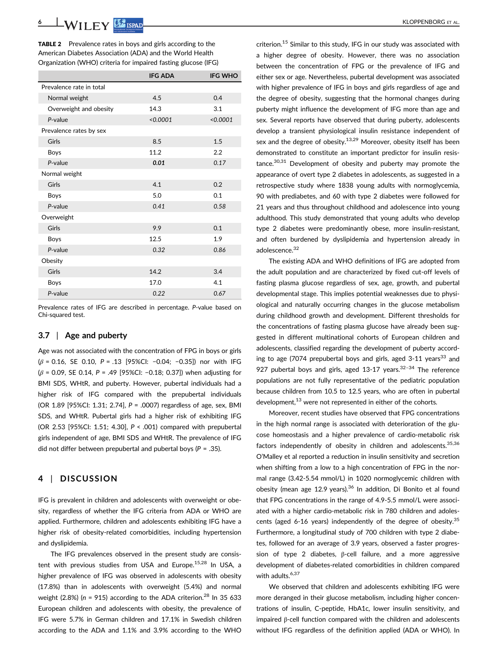TABLE 2 Prevalence rates in boys and girls according to the American Diabetes Association (ADA) and the World Health Organization (WHO) criteria for impaired fasting glucose (IFG)

|                          | <b>IFG ADA</b> | <b>IFG WHO</b> |
|--------------------------|----------------|----------------|
| Prevalence rate in total |                |                |
| Normal weight            | 4.5            | 0.4            |
| Overweight and obesity   | 14.3           | 3.1            |
| P-value                  | < 0.0001       | < 0.0001       |
| Prevalence rates by sex  |                |                |
| Girls                    | 8.5            | 1.5            |
| <b>Boys</b>              | 11.2           | 2.2            |
| P-value                  | 0.01           | 0.17           |
| Normal weight            |                |                |
| Girls                    | 4.1            | 0.2            |
| <b>Boys</b>              | 5.0            | 0.1            |
| P-value                  | 0.41           | 0.58           |
| Overweight               |                |                |
| Girls                    | 9.9            | 0.1            |
| Boys                     | 12.5           | 1.9            |
| P-value                  | 0.32           | 0.86           |
| Obesity                  |                |                |
| Girls                    | 14.2           | 3.4            |
| Boys                     | 17.0           | 4.1            |
| P-value                  | 0.22           | 0.67           |

Prevalence rates of IFG are described in percentage. P-value based on Chi-squared test.

#### 3.7 | Age and puberty

Age was not associated with the concentration of FPG in boys or girls  $(\beta = 0.16, \text{ SE } 0.10, P = .13$  [95%CI: -0.04; -0.35]) nor with IFG  $(β = 0.09, SE 0.14, P = .49 [95% CI: -0.18; 0.37])$  when adjusting for BMI SDS, WHtR, and puberty. However, pubertal individuals had a higher risk of IFG compared with the prepubertal individuals (OR 1.89 [95%CI: 1.31; 2.74], P = .0007) regardless of age, sex, BMI SDS, and WHtR. Pubertal girls had a higher risk of exhibiting IFG (OR 2.53 [95%CI: 1.51; 4.30], P < .001) compared with prepubertal girls independent of age, BMI SDS and WHtR. The prevalence of IFG did not differ between prepubertal and pubertal boys ( $P = .35$ ).

#### 4 | DISCUSSION

IFG is prevalent in children and adolescents with overweight or obesity, regardless of whether the IFG criteria from ADA or WHO are applied. Furthermore, children and adolescents exhibiting IFG have a higher risk of obesity-related comorbidities, including hypertension and dyslipidemia.

The IFG prevalences observed in the present study are consistent with previous studies from USA and Europe.<sup>15,28</sup> In USA, a higher prevalence of IFG was observed in adolescents with obesity (17.8%) than in adolescents with overweight (5.4%) and normal weight (2.8%) ( $n = 915$ ) according to the ADA criterion.<sup>28</sup> In 35 633 European children and adolescents with obesity, the prevalence of IFG were 5.7% in German children and 17.1% in Swedish children according to the ADA and 1.1% and 3.9% according to the WHO

criterion.15 Similar to this study, IFG in our study was associated with a higher degree of obesity. However, there was no association between the concentration of FPG or the prevalence of IFG and either sex or age. Nevertheless, pubertal development was associated with higher prevalence of IFG in boys and girls regardless of age and the degree of obesity, suggesting that the hormonal changes during puberty might influence the development of IFG more than age and sex. Several reports have observed that during puberty, adolescents develop a transient physiological insulin resistance independent of sex and the degree of obesity.<sup>13,29</sup> Moreover, obesity itself has been demonstrated to constitute an important predictor for insulin resistance. $30,31$  Development of obesity and puberty may promote the appearance of overt type 2 diabetes in adolescents, as suggested in a retrospective study where 1838 young adults with normoglycemia, 90 with prediabetes, and 60 with type 2 diabetes were followed for 21 years and thus throughout childhood and adolescence into young adulthood. This study demonstrated that young adults who develop type 2 diabetes were predominantly obese, more insulin-resistant, and often burdened by dyslipidemia and hypertension already in adolescence.<sup>32</sup>

The existing ADA and WHO definitions of IFG are adopted from the adult population and are characterized by fixed cut-off levels of fasting plasma glucose regardless of sex, age, growth, and pubertal developmental stage. This implies potential weaknesses due to physiological and naturally occurring changes in the glucose metabolism during childhood growth and development. Different thresholds for the concentrations of fasting plasma glucose have already been suggested in different multinational cohorts of European children and adolescents, classified regarding the development of puberty according to age (7074 prepubertal boys and girls, aged  $3-11$  years<sup>33</sup> and 927 pubertal boys and girls, aged  $13-17$  years.<sup>32-34</sup> The reference populations are not fully representative of the pediatric population because children from 10.5 to 12.5 years, who are often in pubertal development,<sup>13</sup> were not represented in either of the cohorts.

Moreover, recent studies have observed that FPG concentrations in the high normal range is associated with deterioration of the glucose homeostasis and a higher prevalence of cardio-metabolic risk factors independently of obesity in children and adolescents.<sup>35,36</sup> O'Malley et al reported a reduction in insulin sensitivity and secretion when shifting from a low to a high concentration of FPG in the normal range (3.42-5.54 mmol/L) in 1020 normoglycemic children with obesity (mean age 12.9 years). $36$  In addition, Di Bonito et al found that FPG concentrations in the range of 4.9-5.5 mmol/L were associated with a higher cardio-metabolic risk in 780 children and adolescents (aged 6-16 years) independently of the degree of obesity.<sup>35</sup> Furthermore, a longitudinal study of 700 children with type 2 diabetes, followed for an average of 3.9 years, observed a faster progression of type 2 diabetes, β-cell failure, and a more aggressive development of diabetes-related comorbidities in children compared with adults.<sup>6,37</sup>

We observed that children and adolescents exhibiting IFG were more deranged in their glucose metabolism, including higher concentrations of insulin, C-peptide, HbA1c, lower insulin sensitivity, and impaired β-cell function compared with the children and adolescents without IFG regardless of the definition applied (ADA or WHO). In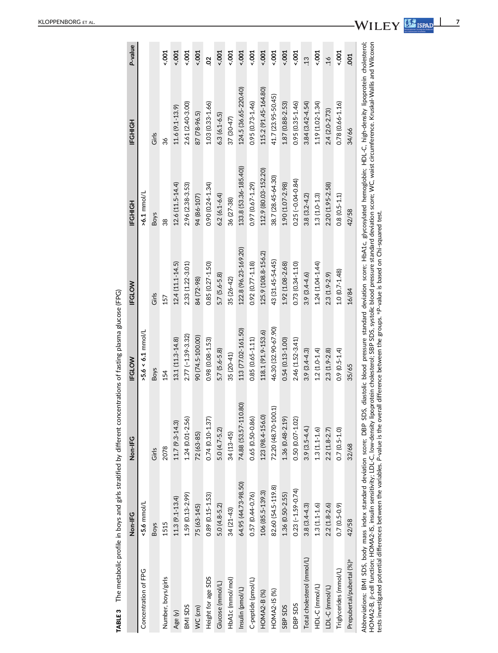|                                                                                                                                                                                                                                                                                                                                                                                                                                                                 | Non-IFG              | Non-IFG              | <b>IFGLOW</b>         | <b>IFGLOW</b>        | <b>HOHIGH</b>                                                                                                                       | <b>HOHIGH</b>        | P-value        |
|-----------------------------------------------------------------------------------------------------------------------------------------------------------------------------------------------------------------------------------------------------------------------------------------------------------------------------------------------------------------------------------------------------------------------------------------------------------------|----------------------|----------------------|-----------------------|----------------------|-------------------------------------------------------------------------------------------------------------------------------------|----------------------|----------------|
| Concentration of FPG                                                                                                                                                                                                                                                                                                                                                                                                                                            | $-5.6$ mmol/L        |                      | $>5.6 < 6.1$ mmol/L   |                      | $>6.1$ mmol/L                                                                                                                       |                      |                |
|                                                                                                                                                                                                                                                                                                                                                                                                                                                                 | <b>Boys</b>          | Girls                | <b>Boys</b>           | Girls                | <b>Boys</b>                                                                                                                         | Girls                |                |
| Number, boys/girls                                                                                                                                                                                                                                                                                                                                                                                                                                              | 1515                 | 2078                 | 154                   | 157                  | 38                                                                                                                                  | 36                   | $5001 -$       |
| Age (y)                                                                                                                                                                                                                                                                                                                                                                                                                                                         | $11.3(9.1 - 13.4)$   | 11.7 (9.3-14.3)      | 13.1 (11.3-14.8)      | 12.4 (11.1-14.5)     | 12.6 (11.5-14.4)                                                                                                                    | 11.6 (9.1-13.9)      | $5001 -$       |
| BMI SDS                                                                                                                                                                                                                                                                                                                                                                                                                                                         | 1.59 (0.13-2.99)     | $1.24$ (0.01-2.56)   | $2.77 (-1.39 - 3.32)$ | 2.33 (1.22-3.01)     | 2.96 (2.38-3.53)                                                                                                                    | 2.61 (2.40-3.00)     | $-0.001$       |
| WC (cm)                                                                                                                                                                                                                                                                                                                                                                                                                                                         | 75 (63-145)          | 72 (63-85)           | 90 (74.5-100.00)      | 84 (72-98)           | 94 (86-107)                                                                                                                         | 87 (78-96.5)         | $-001$         |
| Height for age SDS                                                                                                                                                                                                                                                                                                                                                                                                                                              | 0.89 (0.15-1.53)     | $0.74(0.10 - 1.37)$  | $0.98(0.08 - 1.53)$   | $0.85(0.27 - 1.50)$  | $0.90(0.24 - 1.34)$                                                                                                                 | 1.03 (0.33-1.66)     | $\tilde{c}$    |
| Glucose (mmol/L)                                                                                                                                                                                                                                                                                                                                                                                                                                                | $5.0(4.8 - 5.2)$     | $5.0(4.7 - 5.2)$     | $5.7(5.6-5.8)$        | $5.7(5.6 - 5.8)$     | $6.2(6.1 - 6.4)$                                                                                                                    | $6.3(6.1 - 6.5)$     | $5001 -$       |
| HbA1c (mmol/mol)                                                                                                                                                                                                                                                                                                                                                                                                                                                | 34 (21-43)           | 34 (13-45)           | $35(20-41)$           | 35 (26-42)           | 36 (27-38)                                                                                                                          | 37 (30-47)           | $-001$         |
| Insulin (pmol/L)                                                                                                                                                                                                                                                                                                                                                                                                                                                | 64.95 (44.73-98.50)  | 74.88 (53.57-110.80) | 113 (77.02-161.50)    | 122.8 (96.23-169.20) | 133.8 (53.36-185.40))                                                                                                               | 124.5 (36.65-220.40) | $5001 -$       |
| C-peptide (pmol/L)                                                                                                                                                                                                                                                                                                                                                                                                                                              | $0.57(0.44 - 0.76)$  | $0.65(0.50 - 0.86)$  | $0.85(0.65 - 1.11)$   | $0.92(0.77 - 1.18)$  | $0.97(0.67 - 1.29)$                                                                                                                 | $0.95(0.73 - 1.46)$  | 500.5          |
| <b>HOMA2-B (%)</b>                                                                                                                                                                                                                                                                                                                                                                                                                                              | 106 (85.5-139.3)     | 123 (98.4-156.0)     | 118.1 (91.9-153.6)    | 125.9 (108.8-156.2)  | 112.9 (80.03-152.20)                                                                                                                | 115.2 (91.45-164.80) | $5001 -$       |
| HOMA2-IS (%)                                                                                                                                                                                                                                                                                                                                                                                                                                                    | 82.60 (54.5-119.8)   | 72.20 (48.70-100.1)  | 46.30 (32.90-67.90)   | 43 (31.45-54.45)     | 38.7 (28.45-64.30)                                                                                                                  | 41.7 (23.95-50.45)   | $-001$         |
| SBP SDS                                                                                                                                                                                                                                                                                                                                                                                                                                                         | 1.36 (0.50-2.55)     | 1.36 (0.48-2.19)     | $0.54(0.13 - 1.00)$   | 1.92 (1.08-2.68)     | 1.90 (1.07-2.98)                                                                                                                    | 1.87 (0.88-2.53)     | $5001 -$       |
| DBP SDS                                                                                                                                                                                                                                                                                                                                                                                                                                                         | $0.23(-1.59 - 0.74)$ | $0.50(0.07 - 1.02)$  | 2.46 (1.52-3.41)      | $0.73(0.34 - 1.10)$  | $0.25(-0.04 - 0.84)$                                                                                                                | $0.95(0.35 - 1.46)$  | 5001           |
| Total cholesterol (mmol/L)                                                                                                                                                                                                                                                                                                                                                                                                                                      | $3.8(3.4 - 4.3)$     | $3.9(3.5 - 4.4.)$    | $3.9(3.4 - 4.3)$      | $3.9(3.4 - 4.6)$     | $3.8(3.2 - 4.2)$                                                                                                                    | $3.84(3.42 - 4.54)$  | $\frac{3}{2}$  |
| HDL-C (mmol/L)                                                                                                                                                                                                                                                                                                                                                                                                                                                  | $1.3(1.1 - 1.6)$     | $1.3(1.1 - 1.6)$     | $1.2(1.0 - 1.4)$      | 1.24 (1.04-1.44)     | $1.3(1.0 - 1.3)$                                                                                                                    | 1.19 (1.02-1.34)     | $-001$         |
| LDL-C (mmol/L)                                                                                                                                                                                                                                                                                                                                                                                                                                                  | $2.2(1.8 - 2.6)$     | $2.2(1.8 - 2.7)$     | $2.3(1.9 - 2.8)$      | $2.3(1.9 - 2.9)$     | 2.20 (1.95-2.58)                                                                                                                    | $2.4(2.0 - 2.73)$    | $\frac{16}{1}$ |
| Triglycerides (mmol/L)                                                                                                                                                                                                                                                                                                                                                                                                                                          | $0.7(0.5 - 0.9)$     | $0.7(0.5 - 1.0)$     | $0.9(0.5 - 1.4)$      | $1.0(0.7 - 1.48)$    | $0.8(0.5 - 1.1)$                                                                                                                    | $0.78(0.66 - 1.16)$  | $5001 -$       |
| Prepubertal/pubertal (%)*                                                                                                                                                                                                                                                                                                                                                                                                                                       | 42/58                | 32/68                | 35/65                 | 16/84                | 42/58                                                                                                                               | 34/66                | $\overline{5}$ |
| HOMA2-B, B-cell function; HOMA2-1S, insulin sensitivity; LDL-C, low-density lipoprotein cholesterol; SBP SDS, systolic blood pressure standard deviation score; WC, waist circumference. Kruskal-Wallis and Wilcoxon<br>tests investigated potential differences between the variables. P-value is the overall difference between the groups. *P-value is based on Chi-squared test<br>Abbreviations: BMI SDS, body mass index standard deviation score; DBP SD |                      |                      |                       |                      | SS, diastolic blood pressure standard deviation score; HbA1c, glycosylated hemoglobin; HDL-C, high-density lipoprotein cholesterol; |                      |                |

**TABLE 3** The metabolic profile in boys and girls stratified by different concentrations of fasting plasma glucose (FPG) TABLE 3 The metabolic profile in boys and girls stratified by different concentrations of fasting plasma glucose (FPG)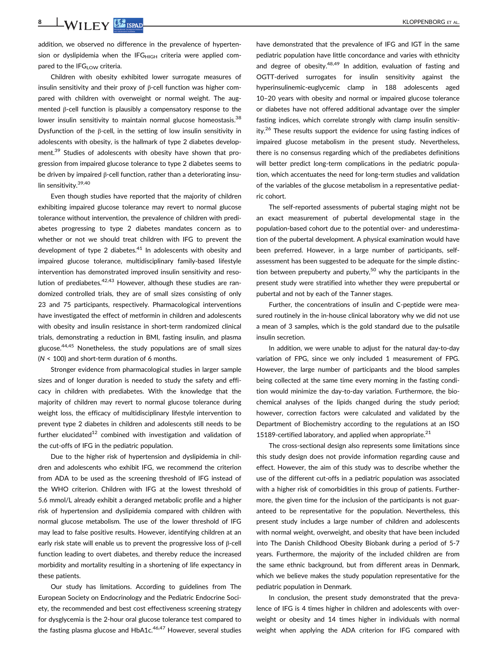# 8 WILEY SEPAD KLOPPENBORG ET AL.

addition, we observed no difference in the prevalence of hypertension or dyslipidemia when the IFG $_{HIGH}$  criteria were applied compared to the IFGLOW criteria.

Children with obesity exhibited lower surrogate measures of insulin sensitivity and their proxy of β-cell function was higher compared with children with overweight or normal weight. The augmented β-cell function is plausibly a compensatory response to the lower insulin sensitivity to maintain normal glucose homeostasis.<sup>38</sup> Dysfunction of the β-cell, in the setting of low insulin sensitivity in adolescents with obesity, is the hallmark of type 2 diabetes development.<sup>39</sup> Studies of adolescents with obesity have shown that progression from impaired glucose tolerance to type 2 diabetes seems to be driven by impaired β-cell function, rather than a deteriorating insulin sensitivity.<sup>39,40</sup>

Even though studies have reported that the majority of children exhibiting impaired glucose tolerance may revert to normal glucose tolerance without intervention, the prevalence of children with prediabetes progressing to type 2 diabetes mandates concern as to whether or not we should treat children with IFG to prevent the development of type 2 diabetes. $41$  In adolescents with obesity and impaired glucose tolerance, multidisciplinary family-based lifestyle intervention has demonstrated improved insulin sensitivity and resolution of prediabetes. $42,43$  However, although these studies are randomized controlled trials, they are of small sizes consisting of only 23 and 75 participants, respectively. Pharmacological interventions have investigated the effect of metformin in children and adolescents with obesity and insulin resistance in short-term randomized clinical trials, demonstrating a reduction in BMI, fasting insulin, and plasma glucose.44,45 Nonetheless, the study populations are of small sizes  $(N < 100)$  and short-term duration of 6 months.

Stronger evidence from pharmacological studies in larger sample sizes and of longer duration is needed to study the safety and efficacy in children with prediabetes. With the knowledge that the majority of children may revert to normal glucose tolerance during weight loss, the efficacy of multidisciplinary lifestyle intervention to prevent type 2 diabetes in children and adolescents still needs to be further elucidated $12$  combined with investigation and validation of the cut-offs of IFG in the pediatric population.

Due to the higher risk of hypertension and dyslipidemia in children and adolescents who exhibit IFG, we recommend the criterion from ADA to be used as the screening threshold of IFG instead of the WHO criterion. Children with IFG at the lowest threshold of 5.6 mmol/L already exhibit a deranged metabolic profile and a higher risk of hypertension and dyslipidemia compared with children with normal glucose metabolism. The use of the lower threshold of IFG may lead to false positive results. However, identifying children at an early risk state will enable us to prevent the progressive loss of  $\beta$ -cell function leading to overt diabetes, and thereby reduce the increased morbidity and mortality resulting in a shortening of life expectancy in these patients.

Our study has limitations. According to guidelines from The European Society on Endocrinology and the Pediatric Endocrine Society, the recommended and best cost effectiveness screening strategy for dysglycemia is the 2-hour oral glucose tolerance test compared to the fasting plasma glucose and  $HbA1c$ <sup>46,47</sup> However, several studies have demonstrated that the prevalence of IFG and IGT in the same pediatric population have little concordance and varies with ethnicity and degree of obesity.<sup>48,49</sup> In addition, evaluation of fasting and OGTT-derived surrogates for insulin sensitivity against the hyperinsulinemic-euglycemic clamp in 188 adolescents aged 10–20 years with obesity and normal or impaired glucose tolerance or diabetes have not offered additional advantage over the simpler fasting indices, which correlate strongly with clamp insulin sensitivity.26 These results support the evidence for using fasting indices of impaired glucose metabolism in the present study. Nevertheless, there is no consensus regarding which of the prediabetes definitions will better predict long-term complications in the pediatric population, which accentuates the need for long-term studies and validation of the variables of the glucose metabolism in a representative pediatric cohort.

The self-reported assessments of pubertal staging might not be an exact measurement of pubertal developmental stage in the population-based cohort due to the potential over- and underestimation of the pubertal development. A physical examination would have been preferred. However, in a large number of participants, selfassessment has been suggested to be adequate for the simple distinction between prepuberty and puberty,<sup>50</sup> why the participants in the present study were stratified into whether they were prepubertal or pubertal and not by each of the Tanner stages.

Further, the concentrations of insulin and C-peptide were measured routinely in the in-house clinical laboratory why we did not use a mean of 3 samples, which is the gold standard due to the pulsatile insulin secretion.

In addition, we were unable to adjust for the natural day-to-day variation of FPG, since we only included 1 measurement of FPG. However, the large number of participants and the blood samples being collected at the same time every morning in the fasting condition would minimize the day-to-day variation. Furthermore, the biochemical analyses of the lipids changed during the study period; however, correction factors were calculated and validated by the Department of Biochemistry according to the regulations at an ISO 15189-certified laboratory, and applied when appropriate. $^{21}$ 

The cross-sectional design also represents some limitations since this study design does not provide information regarding cause and effect. However, the aim of this study was to describe whether the use of the different cut-offs in a pediatric population was associated with a higher risk of comorbidities in this group of patients. Furthermore, the given time for the inclusion of the participants is not guaranteed to be representative for the population. Nevertheless, this present study includes a large number of children and adolescents with normal weight, overweight, and obesity that have been included into The Danish Childhood Obesity Biobank during a period of 5-7 years. Furthermore, the majority of the included children are from the same ethnic background, but from different areas in Denmark, which we believe makes the study population representative for the pediatric population in Denmark.

In conclusion, the present study demonstrated that the prevalence of IFG is 4 times higher in children and adolescents with overweight or obesity and 14 times higher in individuals with normal weight when applying the ADA criterion for IFG compared with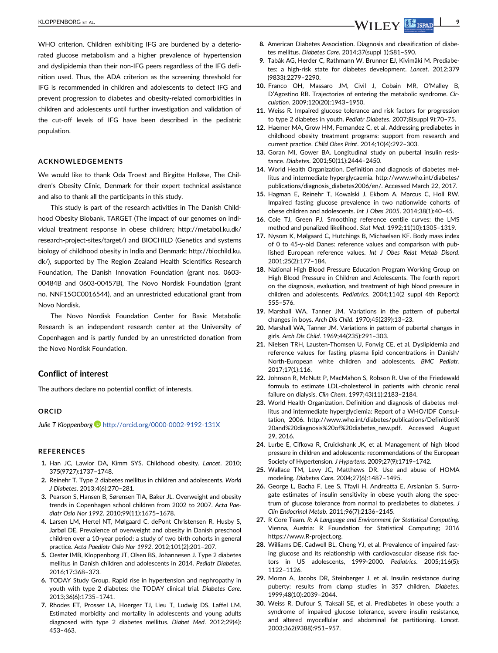WHO criterion. Children exhibiting IFG are burdened by a deteriorated glucose metabolism and a higher prevalence of hypertension and dyslipidemia than their non-IFG peers regardless of the IFG definition used. Thus, the ADA criterion as the screening threshold for IFG is recommended in children and adolescents to detect IFG and prevent progression to diabetes and obesity-related comorbidities in children and adolescents until further investigation and validation of the cut-off levels of IFG have been described in the pediatric population.

#### ACKNOWLEDGEMENTS

We would like to thank Oda Troest and Birgitte Holløse, The Children's Obesity Clinic, Denmark for their expert technical assistance and also to thank all the participants in this study.

This study is part of the research activities in The Danish Childhood Obesity Biobank, TARGET (The impact of our genomes on individual treatment response in obese children; http://metabol.ku.dk/ research-project-sites/target/) and BIOCHILD (Genetics and systems biology of childhood obesity in India and Denmark; [http://biochild.ku.](http://biochild.ku.dk/) [dk/\)](http://biochild.ku.dk/), supported by The Region Zealand Health Scientifics Research Foundation, The Danish Innovation Foundation (grant nos. 0603- 00484B and 0603-00457B), The Novo Nordisk Foundation (grant no. NNF15OC0016544), and an unrestricted educational grant from Novo Nordisk.

The Novo Nordisk Foundation Center for Basic Metabolic Research is an independent research center at the University of Copenhagen and is partly funded by an unrestricted donation from the Novo Nordisk Foundation.

#### Conflict of interest

The authors declare no potential conflict of interests.

#### **ORCID**

Julie T Kloppenborg <http://orcid.org/0000-0002-9192-131X>

#### **REFERENCES**

- 1. Han JC, Lawlor DA, Kimm SYS. Childhood obesity. Lancet. 2010; 375(9727):1737–1748.
- 2. Reinehr T. Type 2 diabetes mellitus in children and adolescents. World J Diabetes. 2013;4(6):270–281.
- 3. Pearson S, Hansen B, Sørensen TIA, Baker JL. Overweight and obesity trends in Copenhagen school children from 2002 to 2007. Acta Paediatr Oslo Nor 1992. 2010;99(11):1675–1678.
- 4. Larsen LM, Hertel NT, Mølgaard C, dePont Christensen R, Husby S, Jarbøl DE. Prevalence of overweight and obesity in Danish preschool children over a 10-year period: a study of two birth cohorts in general practice. Acta Paediatr Oslo Nor 1992. 2012;101(2):201–207.
- 5. Oester IMB, Kloppenborg JT, Olsen BS, Johannesen J. Type 2 diabetes mellitus in Danish children and adolescents in 2014. Pediatr Diabetes. 2016;17:368–373.
- 6. TODAY Study Group. Rapid rise in hypertension and nephropathy in youth with type 2 diabetes: the TODAY clinical trial. Diabetes Care. 2013;36(6):1735–1741.
- 7. Rhodes ET, Prosser LA, Hoerger TJ, Lieu T, Ludwig DS, Laffel LM. Estimated morbidity and mortality in adolescents and young adults diagnosed with type 2 diabetes mellitus. Diabet Med. 2012;29(4): 453–463.
- 8. American Diabetes Association. Diagnosis and classification of diabetes mellitus. Diabetes Care. 2014;37(suppl 1):S81–S90.
- 9. Tabák AG, Herder C, Rathmann W, Brunner EJ, Kivimäki M. Prediabetes: a high-risk state for diabetes development. Lancet. 2012;379 (9833):2279–2290.
- 10. Franco OH, Massaro JM, Civil J, Cobain MR, O'Malley B, D'Agostino RB. Trajectories of entering the metabolic syndrome. Circulation. 2009;120(20):1943–1950.
- 11. Weiss R. Impaired glucose tolerance and risk factors for progression to type 2 diabetes in youth. Pediatr Diabetes. 2007;8(suppl 9):70–75.
- 12. Haemer MA, Grow HM, Fernandez C, et al. Addressing prediabetes in childhood obesity treatment programs: support from research and current practice. Child Obes Print. 2014;10(4):292–303.
- 13. Goran MI, Gower BA. Longitudinal study on pubertal insulin resistance. Diabetes. 2001;50(11):2444–2450.
- 14. World Health Organization. Definition and diagnosis of diabetes mellitus and intermediate hyperglycaemia. [http://www.who.int/diabetes/](http://www.who.int/diabetes/publications/diagnosis_diabetes2006/en/) [publications/diagnosis\\_diabetes2006/en/](http://www.who.int/diabetes/publications/diagnosis_diabetes2006/en/). Accessed March 22, 2017.
- 15. Hagman E, Reinehr T, Kowalski J, Ekbom A, Marcus C, Holl RW. Impaired fasting glucose prevalence in two nationwide cohorts of obese children and adolescents. Int J Obes 2005. 2014;38(1):40–45.
- 16. Cole TJ, Green PJ. Smoothing reference centile curves: the LMS method and penalized likelihood. Stat Med. 1992;11(10):1305–1319.
- 17. Nysom K, Mølgaard C, Hutchings B, Michaelsen KF. Body mass index of 0 to 45-y-old Danes: reference values and comparison with published European reference values. Int J Obes Relat Metab Disord. 2001;25(2):177–184.
- 18. National High Blood Pressure Education Program Working Group on High Blood Pressure in Children and Adolescents. The fourth report on the diagnosis, evaluation, and treatment of high blood pressure in children and adolescents. Pediatrics. 2004;114(2 suppl 4th Report): 555–576.
- 19. Marshall WA, Tanner JM. Variations in the pattern of pubertal changes in boys. Arch Dis Child. 1970;45(239):13–23.
- 20. Marshall WA, Tanner JM. Variations in pattern of pubertal changes in girls. Arch Dis Child. 1969;44(235):291–303.
- 21. Nielsen TRH, Lausten-Thomsen U, Fonvig CE, et al. Dyslipidemia and reference values for fasting plasma lipid concentrations in Danish/ North-European white children and adolescents. BMC Pediatr. 2017;17(1):116.
- 22. Johnson R, McNutt P, MacMahon S, Robson R. Use of the Friedewald formula to estimate LDL-cholesterol in patients with chronic renal failure on dialysis. Clin Chem. 1997;43(11):2183–2184.
- 23. World Health Organization. Definition and diagnosis of diabetes mellitus and intermediate hyperglyciemia: Report of a WHO/IDF Consultation, 2006. [http://www.who.int/diabetes/publications/Definition%](http://www.who.int/diabetes/publications/Definition%20and%20diagnosis%20of%20diabetes_new.pdf) [20and%20diagnosis%20of%20diabetes\\_new.pdf](http://www.who.int/diabetes/publications/Definition%20and%20diagnosis%20of%20diabetes_new.pdf). Accessed August 29, 2016.
- 24. Lurbe E, Cifkova R, Cruickshank JK, et al. Management of high blood pressure in children and adolescents: recommendations of the European Society of Hypertension. J Hypertens. 2009;27(9):1719–1742.
- 25. Wallace TM, Levy JC, Matthews DR. Use and abuse of HOMA modeling. Diabetes Care. 2004;27(6):1487–1495.
- 26. George L, Bacha F, Lee S, Tfayli H, Andreatta E, Arslanian S. Surrogate estimates of insulin sensitivity in obese youth along the spectrum of glucose tolerance from normal to prediabetes to diabetes. J Clin Endocrinol Metab. 2011;96(7):2136–2145.
- 27. R Core Team. R: A Language and Environment for Statistical Computing. Vienna, Austria: R Foundation for Statistical Computing; 2016 [https://www.R-project.org](https://www.r-project.org).
- 28. Williams DE, Cadwell BL, Cheng YJ, et al. Prevalence of impaired fasting glucose and its relationship with cardiovascular disease risk factors in US adolescents, 1999-2000. Pediatrics. 2005;116(5): 1122–1126.
- 29. Moran A, Jacobs DR, Steinberger J, et al. Insulin resistance during puberty: results from clamp studies in 357 children. Diabetes. 1999;48(10):2039–2044.
- 30. Weiss R, Dufour S, Taksali SE, et al. Prediabetes in obese youth: a syndrome of impaired glucose tolerance, severe insulin resistance, and altered myocellular and abdominal fat partitioning. Lancet. 2003;362(9388):951–957.